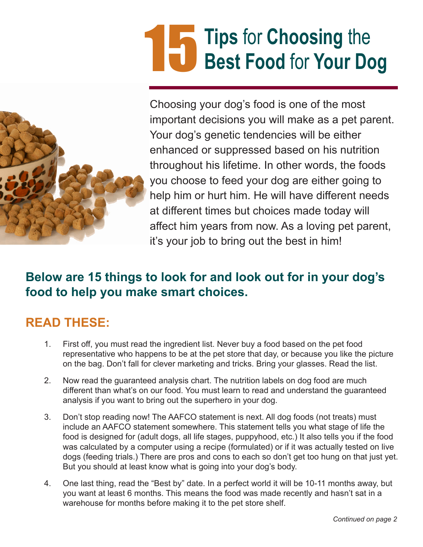# **Tips** for **Choosing** the 15 **Best Food for Your Dog**



Choosing your dog's food is one of the most important decisions you will make as a pet parent. Your dog's genetic tendencies will be either enhanced or suppressed based on his nutrition throughout his lifetime. In other words, the foods you choose to feed your dog are either going to help him or hurt him. He will have different needs at different times but choices made today will affect him years from now. As a loving pet parent, it's your job to bring out the best in him!

### **Below are 15 things to look for and look out for in your dog's food to help you make smart choices.**

# **READ THESE:**

- 1. First off, you must read the ingredient list. Never buy a food based on the pet food representative who happens to be at the pet store that day, or because you like the picture on the bag. Don't fall for clever marketing and tricks. Bring your glasses. Read the list.
- 2. Now read the guaranteed analysis chart. The nutrition labels on dog food are much different than what's on our food. You must learn to read and understand the guaranteed analysis if you want to bring out the superhero in your dog.
- 3. Don't stop reading now! The AAFCO statement is next. All dog foods (not treats) must include an AAFCO statement somewhere. This statement tells you what stage of life the food is designed for (adult dogs, all life stages, puppyhood, etc.) It also tells you if the food was calculated by a computer using a recipe (formulated) or if it was actually tested on live dogs (feeding trials.) There are pros and cons to each so don't get too hung on that just yet. But you should at least know what is going into your dog's body.
- 4. One last thing, read the "Best by" date. In a perfect world it will be 10-11 months away, but you want at least 6 months. This means the food was made recently and hasn't sat in a warehouse for months before making it to the pet store shelf.